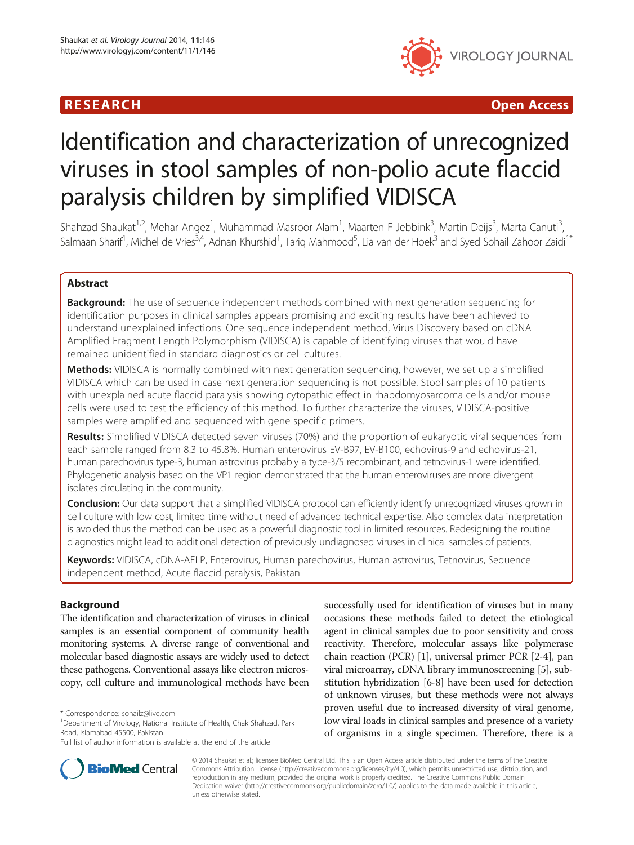# R E S EAR CH Open Access



# Identification and characterization of unrecognized viruses in stool samples of non-polio acute flaccid paralysis children by simplified VIDISCA

Shahzad Shaukat<sup>1,2</sup>, Mehar Angez<sup>1</sup>, Muhammad Masroor Alam<sup>1</sup>, Maarten F Jebbink<sup>3</sup>, Martin Deijs<sup>3</sup>, Marta Canuti<sup>3</sup> , Salmaan Sharif<sup>1</sup>, Michel de Vries<sup>3,4</sup>, Adnan Khurshid<sup>1</sup>, Tariq Mahmood<sup>5</sup>, Lia van der Hoek<sup>3</sup> and Syed Sohail Zahoor Zaidi<sup>1\*</sup>

# Abstract

**Background:** The use of sequence independent methods combined with next generation sequencing for identification purposes in clinical samples appears promising and exciting results have been achieved to understand unexplained infections. One sequence independent method, Virus Discovery based on cDNA Amplified Fragment Length Polymorphism (VIDISCA) is capable of identifying viruses that would have remained unidentified in standard diagnostics or cell cultures.

Methods: VIDISCA is normally combined with next generation sequencing, however, we set up a simplified VIDISCA which can be used in case next generation sequencing is not possible. Stool samples of 10 patients with unexplained acute flaccid paralysis showing cytopathic effect in rhabdomyosarcoma cells and/or mouse cells were used to test the efficiency of this method. To further characterize the viruses, VIDISCA-positive samples were amplified and sequenced with gene specific primers.

Results: Simplified VIDISCA detected seven viruses (70%) and the proportion of eukaryotic viral sequences from each sample ranged from 8.3 to 45.8%. Human enterovirus EV-B97, EV-B100, echovirus-9 and echovirus-21, human parechovirus type-3, human astrovirus probably a type-3/5 recombinant, and tetnovirus-1 were identified. Phylogenetic analysis based on the VP1 region demonstrated that the human enteroviruses are more divergent isolates circulating in the community.

**Conclusion:** Our data support that a simplified VIDISCA protocol can efficiently identify unrecognized viruses grown in cell culture with low cost, limited time without need of advanced technical expertise. Also complex data interpretation is avoided thus the method can be used as a powerful diagnostic tool in limited resources. Redesigning the routine diagnostics might lead to additional detection of previously undiagnosed viruses in clinical samples of patients.

Keywords: VIDISCA, cDNA-AFLP, Enterovirus, Human parechovirus, Human astrovirus, Tetnovirus, Sequence independent method, Acute flaccid paralysis, Pakistan

# Background

The identification and characterization of viruses in clinical samples is an essential component of community health monitoring systems. A diverse range of conventional and molecular based diagnostic assays are widely used to detect these pathogens. Conventional assays like electron microscopy, cell culture and immunological methods have been

successfully used for identification of viruses but in many occasions these methods failed to detect the etiological agent in clinical samples due to poor sensitivity and cross reactivity. Therefore, molecular assays like polymerase chain reaction (PCR) [[1](#page-6-0)], universal primer PCR [\[2](#page-6-0)-[4](#page-6-0)], pan viral microarray, cDNA library immunoscreening [\[5](#page-6-0)], substitution hybridization [[6-8](#page-6-0)] have been used for detection of unknown viruses, but these methods were not always proven useful due to increased diversity of viral genome, low viral loads in clinical samples and presence of a variety of organisms in a single specimen. Therefore, there is a



© 2014 Shaukat et al.; licensee BioMed Central Ltd. This is an Open Access article distributed under the terms of the Creative Commons Attribution License [\(http://creativecommons.org/licenses/by/4.0\)](http://creativecommons.org/licenses/by/4.0), which permits unrestricted use, distribution, and reproduction in any medium, provided the original work is properly credited. The Creative Commons Public Domain Dedication waiver [\(http://creativecommons.org/publicdomain/zero/1.0/](http://creativecommons.org/publicdomain/zero/1.0/)) applies to the data made available in this article, unless otherwise stated.

<sup>\*</sup> Correspondence: [sohailz@live.com](mailto:sohailz@live.com) <sup>1</sup>

<sup>&</sup>lt;sup>1</sup>Department of Virology, National Institute of Health, Chak Shahzad, Park Road, Islamabad 45500, Pakistan

Full list of author information is available at the end of the article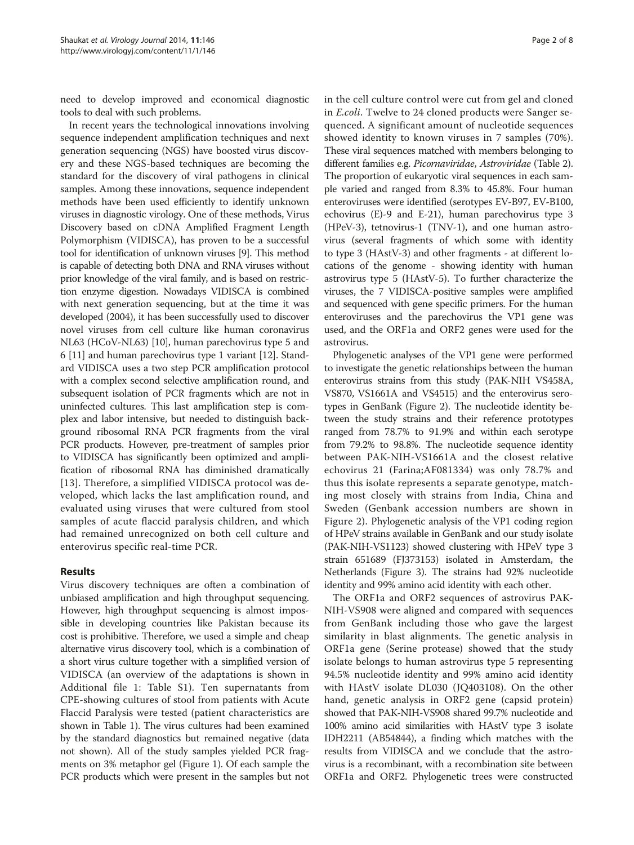need to develop improved and economical diagnostic tools to deal with such problems.

In recent years the technological innovations involving sequence independent amplification techniques and next generation sequencing (NGS) have boosted virus discovery and these NGS-based techniques are becoming the standard for the discovery of viral pathogens in clinical samples. Among these innovations, sequence independent methods have been used efficiently to identify unknown viruses in diagnostic virology. One of these methods, Virus Discovery based on cDNA Amplified Fragment Length Polymorphism (VIDISCA), has proven to be a successful tool for identification of unknown viruses [\[9\]](#page-6-0). This method is capable of detecting both DNA and RNA viruses without prior knowledge of the viral family, and is based on restriction enzyme digestion. Nowadays VIDISCA is combined with next generation sequencing, but at the time it was developed (2004), it has been successfully used to discover novel viruses from cell culture like human coronavirus NL63 (HCoV-NL63) [\[10](#page-6-0)], human parechovirus type 5 and 6 [\[11](#page-6-0)] and human parechovirus type 1 variant [[12](#page-6-0)]. Standard VIDISCA uses a two step PCR amplification protocol with a complex second selective amplification round, and subsequent isolation of PCR fragments which are not in uninfected cultures. This last amplification step is complex and labor intensive, but needed to distinguish background ribosomal RNA PCR fragments from the viral PCR products. However, pre-treatment of samples prior to VIDISCA has significantly been optimized and amplification of ribosomal RNA has diminished dramatically [[13](#page-7-0)]. Therefore, a simplified VIDISCA protocol was developed, which lacks the last amplification round, and evaluated using viruses that were cultured from stool samples of acute flaccid paralysis children, and which had remained unrecognized on both cell culture and enterovirus specific real-time PCR.

# Results

Virus discovery techniques are often a combination of unbiased amplification and high throughput sequencing. However, high throughput sequencing is almost impossible in developing countries like Pakistan because its cost is prohibitive. Therefore, we used a simple and cheap alternative virus discovery tool, which is a combination of a short virus culture together with a simplified version of VIDISCA (an overview of the adaptations is shown in Additional file [1](#page-6-0): Table S1). Ten supernatants from CPE-showing cultures of stool from patients with Acute Flaccid Paralysis were tested (patient characteristics are shown in Table [1\)](#page-2-0). The virus cultures had been examined by the standard diagnostics but remained negative (data not shown). All of the study samples yielded PCR fragments on 3% metaphor gel (Figure [1](#page-2-0)). Of each sample the PCR products which were present in the samples but not in the cell culture control were cut from gel and cloned in E.coli. Twelve to 24 cloned products were Sanger sequenced. A significant amount of nucleotide sequences showed identity to known viruses in 7 samples (70%). These viral sequences matched with members belonging to different families e.g. Picornaviridae, Astroviridae (Table [2](#page-3-0)). The proportion of eukaryotic viral sequences in each sample varied and ranged from 8.3% to 45.8%. Four human enteroviruses were identified (serotypes EV-B97, EV-B100, echovirus (E)-9 and E-21), human parechovirus type 3 (HPeV-3), tetnovirus-1 (TNV-1), and one human astrovirus (several fragments of which some with identity to type 3 (HAstV-3) and other fragments - at different locations of the genome - showing identity with human astrovirus type 5 (HAstV-5). To further characterize the viruses, the 7 VIDISCA-positive samples were amplified and sequenced with gene specific primers. For the human enteroviruses and the parechovirus the VP1 gene was used, and the ORF1a and ORF2 genes were used for the astrovirus.

Phylogenetic analyses of the VP1 gene were performed to investigate the genetic relationships between the human enterovirus strains from this study (PAK-NIH VS458A, VS870, VS1661A and VS4515) and the enterovirus serotypes in GenBank (Figure [2](#page-4-0)). The nucleotide identity between the study strains and their reference prototypes ranged from 78.7% to 91.9% and within each serotype from 79.2% to 98.8%. The nucleotide sequence identity between PAK-NIH-VS1661A and the closest relative echovirus 21 (Farina;AF081334) was only 78.7% and thus this isolate represents a separate genotype, matching most closely with strains from India, China and Sweden (Genbank accession numbers are shown in Figure [2\)](#page-4-0). Phylogenetic analysis of the VP1 coding region of HPeV strains available in GenBank and our study isolate (PAK-NIH-VS1123) showed clustering with HPeV type 3 strain 651689 (FJ373153) isolated in Amsterdam, the Netherlands (Figure [3\)](#page-5-0). The strains had 92% nucleotide identity and 99% amino acid identity with each other.

The ORF1a and ORF2 sequences of astrovirus PAK-NIH-VS908 were aligned and compared with sequences from GenBank including those who gave the largest similarity in blast alignments. The genetic analysis in ORF1a gene (Serine protease) showed that the study isolate belongs to human astrovirus type 5 representing 94.5% nucleotide identity and 99% amino acid identity with HAstV isolate DL030 (JQ403108). On the other hand, genetic analysis in ORF2 gene (capsid protein) showed that PAK-NIH-VS908 shared 99.7% nucleotide and 100% amino acid similarities with HAstV type 3 isolate IDH2211 (AB54844), a finding which matches with the results from VIDISCA and we conclude that the astrovirus is a recombinant, with a recombination site between ORF1a and ORF2. Phylogenetic trees were constructed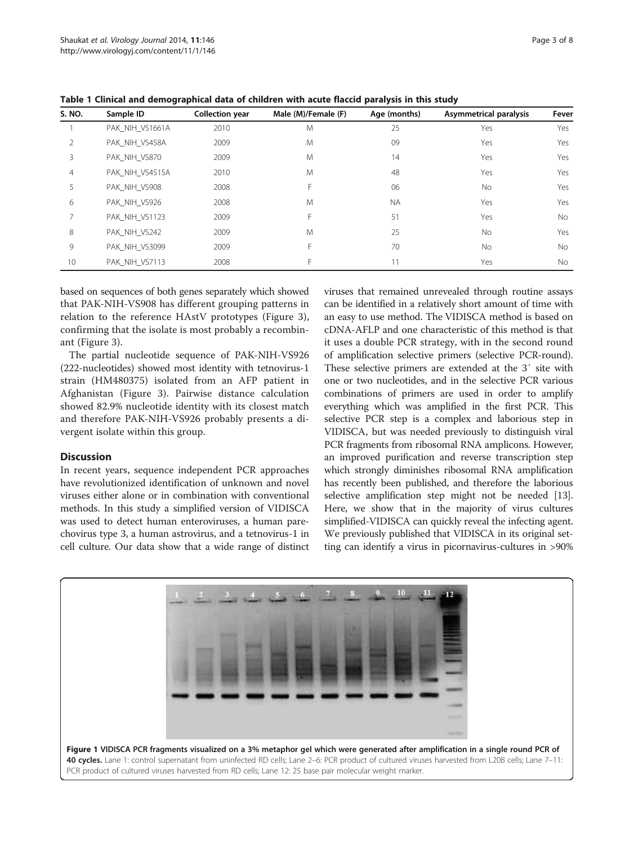| S. NO.          | Sample ID       | <b>Collection year</b> | Male (M)/Female (F) | Age (months) | Asymmetrical paralysis | Fever |
|-----------------|-----------------|------------------------|---------------------|--------------|------------------------|-------|
|                 | PAK NIH VS1661A | 2010                   | M                   | 25           | Yes                    | Yes   |
|                 | PAK_NIH_VS458A  | 2009                   | M                   | 09           | Yes                    | Yes   |
| 3               | PAK NIH VS870   | 2009                   | M                   | 14           | Yes                    | Yes   |
| 4               | PAK NIH VS4515A | 2010                   | M                   | 48           | Yes                    | Yes   |
| 5.              | PAK NIH VS908   | 2008                   | F                   | 06           | No                     | Yes   |
| 6               | PAK NIH VS926   | 2008                   | M                   | <b>NA</b>    | Yes                    | Yes   |
|                 | PAK NIH VS1123  | 2009                   | F.                  | 51           | Yes                    | No.   |
| 8               | PAK NIH VS242   | 2009                   | M                   | 25           | No.                    | Yes   |
| 9               | PAK NIH VS3099  | 2009                   | F                   | 70           | <b>No</b>              | No.   |
| 10 <sup>°</sup> | PAK NIH VS7113  | 2008                   | F                   | 11           | Yes                    | No    |

<span id="page-2-0"></span>Table 1 Clinical and demographical data of children with acute flaccid paralysis in this study

based on sequences of both genes separately which showed that PAK-NIH-VS908 has different grouping patterns in relation to the reference HAstV prototypes (Figure [3](#page-5-0)), confirming that the isolate is most probably a recombinant (Figure [3\)](#page-5-0).

The partial nucleotide sequence of PAK-NIH-VS926 (222-nucleotides) showed most identity with tetnovirus-1 strain (HM480375) isolated from an AFP patient in Afghanistan (Figure [3](#page-5-0)). Pairwise distance calculation showed 82.9% nucleotide identity with its closest match and therefore PAK-NIH-VS926 probably presents a divergent isolate within this group.

# **Discussion**

In recent years, sequence independent PCR approaches have revolutionized identification of unknown and novel viruses either alone or in combination with conventional methods. In this study a simplified version of VIDISCA was used to detect human enteroviruses, a human parechovirus type 3, a human astrovirus, and a tetnovirus-1 in cell culture. Our data show that a wide range of distinct viruses that remained unrevealed through routine assays can be identified in a relatively short amount of time with an easy to use method. The VIDISCA method is based on cDNA-AFLP and one characteristic of this method is that it uses a double PCR strategy, with in the second round of amplification selective primers (selective PCR-round). These selective primers are extended at the 3′ site with one or two nucleotides, and in the selective PCR various combinations of primers are used in order to amplify everything which was amplified in the first PCR. This selective PCR step is a complex and laborious step in VIDISCA, but was needed previously to distinguish viral PCR fragments from ribosomal RNA amplicons. However, an improved purification and reverse transcription step which strongly diminishes ribosomal RNA amplification has recently been published, and therefore the laborious selective amplification step might not be needed [[13](#page-7-0)]. Here, we show that in the majority of virus cultures simplified-VIDISCA can quickly reveal the infecting agent. We previously published that VIDISCA in its original setting can identify a virus in picornavirus-cultures in >90%

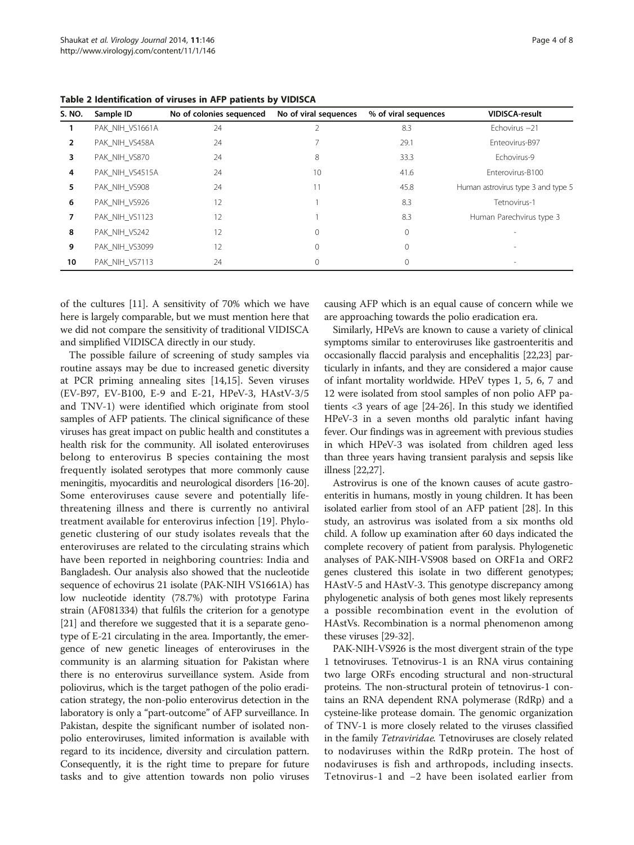| S. NO.         | Sample ID       | No of colonies sequenced | No of viral sequences | % of viral sequences | <b>VIDISCA-result</b>              |
|----------------|-----------------|--------------------------|-----------------------|----------------------|------------------------------------|
|                | PAK NIH VS1661A | 24                       |                       | 8.3                  | Echovirus $-21$                    |
| $\overline{2}$ | PAK NIH VS458A  | 24                       |                       | 29.1                 | Enteovirus-B97                     |
| 3              | PAK_NIH_VS870   | 24                       | 8                     | 33.3                 | Echovirus-9                        |
| 4              | PAK NIH VS4515A | 24                       | 10                    | 41.6                 | Enterovirus-B100                   |
| 5.             | PAK NIH VS908   | 24                       | 11                    | 45.8                 | Human astrovirus type 3 and type 5 |
| 6              | PAK NIH VS926   | 12                       |                       | 8.3                  | Tetnovirus-1                       |
| 7              | PAK_NIH_VS1123  | 12 <sup>°</sup>          |                       | 8.3                  | Human Parechvirus type 3           |
| 8              | PAK NIH VS242   | 12                       | 0                     | 0                    |                                    |
| 9              | PAK NIH VS3099  | 12                       |                       |                      |                                    |
| 10             | PAK_NIH_VS7113  | 24                       |                       |                      |                                    |

<span id="page-3-0"></span>Table 2 Identification of viruses in AFP patients by VIDISCA

of the cultures [\[11\]](#page-6-0). A sensitivity of 70% which we have here is largely comparable, but we must mention here that we did not compare the sensitivity of traditional VIDISCA and simplified VIDISCA directly in our study.

The possible failure of screening of study samples via routine assays may be due to increased genetic diversity at PCR priming annealing sites [\[14,15\]](#page-7-0). Seven viruses (EV-B97, EV-B100, E-9 and E-21, HPeV-3, HAstV-3/5 and TNV-1) were identified which originate from stool samples of AFP patients. The clinical significance of these viruses has great impact on public health and constitutes a health risk for the community. All isolated enteroviruses belong to enterovirus B species containing the most frequently isolated serotypes that more commonly cause meningitis, myocarditis and neurological disorders [\[16-20](#page-7-0)]. Some enteroviruses cause severe and potentially lifethreatening illness and there is currently no antiviral treatment available for enterovirus infection [\[19](#page-7-0)]. Phylogenetic clustering of our study isolates reveals that the enteroviruses are related to the circulating strains which have been reported in neighboring countries: India and Bangladesh. Our analysis also showed that the nucleotide sequence of echovirus 21 isolate (PAK-NIH VS1661A) has low nucleotide identity (78.7%) with prototype Farina strain (AF081334) that fulfils the criterion for a genotype [[21](#page-7-0)] and therefore we suggested that it is a separate genotype of E-21 circulating in the area. Importantly, the emergence of new genetic lineages of enteroviruses in the community is an alarming situation for Pakistan where there is no enterovirus surveillance system. Aside from poliovirus, which is the target pathogen of the polio eradication strategy, the non-polio enterovirus detection in the laboratory is only a "part-outcome" of AFP surveillance. In Pakistan, despite the significant number of isolated nonpolio enteroviruses, limited information is available with regard to its incidence, diversity and circulation pattern. Consequently, it is the right time to prepare for future tasks and to give attention towards non polio viruses

causing AFP which is an equal cause of concern while we are approaching towards the polio eradication era.

Similarly, HPeVs are known to cause a variety of clinical symptoms similar to enteroviruses like gastroenteritis and occasionally flaccid paralysis and encephalitis [\[22,23\]](#page-7-0) particularly in infants, and they are considered a major cause of infant mortality worldwide. HPeV types 1, 5, 6, 7 and 12 were isolated from stool samples of non polio AFP patients <3 years of age [\[24-26](#page-7-0)]. In this study we identified HPeV-3 in a seven months old paralytic infant having fever. Our findings was in agreement with previous studies in which HPeV-3 was isolated from children aged less than three years having transient paralysis and sepsis like illness [[22,27](#page-7-0)].

Astrovirus is one of the known causes of acute gastroenteritis in humans, mostly in young children. It has been isolated earlier from stool of an AFP patient [[28](#page-7-0)]. In this study, an astrovirus was isolated from a six months old child. A follow up examination after 60 days indicated the complete recovery of patient from paralysis. Phylogenetic analyses of PAK-NIH-VS908 based on ORF1a and ORF2 genes clustered this isolate in two different genotypes; HAstV-5 and HAstV-3. This genotype discrepancy among phylogenetic analysis of both genes most likely represents a possible recombination event in the evolution of HAstVs. Recombination is a normal phenomenon among these viruses [\[29-32\]](#page-7-0).

PAK-NIH-VS926 is the most divergent strain of the type 1 tetnoviruses. Tetnovirus-1 is an RNA virus containing two large ORFs encoding structural and non-structural proteins. The non-structural protein of tetnovirus-1 contains an RNA dependent RNA polymerase (RdRp) and a cysteine-like protease domain. The genomic organization of TNV-1 is more closely related to the viruses classified in the family Tetraviridae. Tetnoviruses are closely related to nodaviruses within the RdRp protein. The host of nodaviruses is fish and arthropods, including insects. Tetnovirus-1 and −2 have been isolated earlier from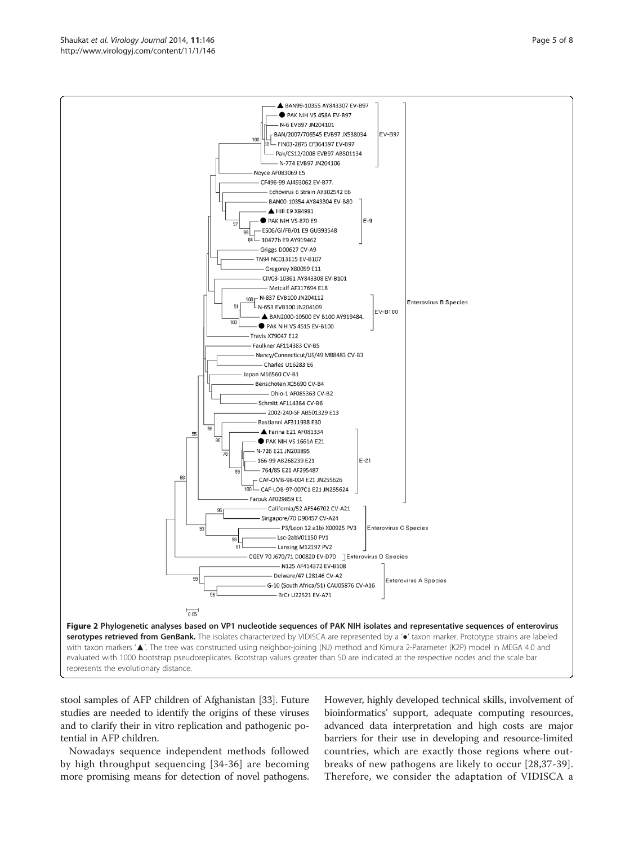stool samples of AFP children of Afghanistan [\[33\]](#page-7-0). Future studies are needed to identify the origins of these viruses and to clarify their in vitro replication and pathogenic potential in AFP children.

Nowadays sequence independent methods followed by high throughput sequencing [[34-36\]](#page-7-0) are becoming more promising means for detection of novel pathogens.

However, highly developed technical skills, involvement of bioinformatics' support, adequate computing resources, advanced data interpretation and high costs are major barriers for their use in developing and resource-limited countries, which are exactly those regions where outbreaks of new pathogens are likely to occur [\[28,37](#page-7-0)-[39](#page-7-0)]. Therefore, we consider the adaptation of VIDISCA a

<span id="page-4-0"></span>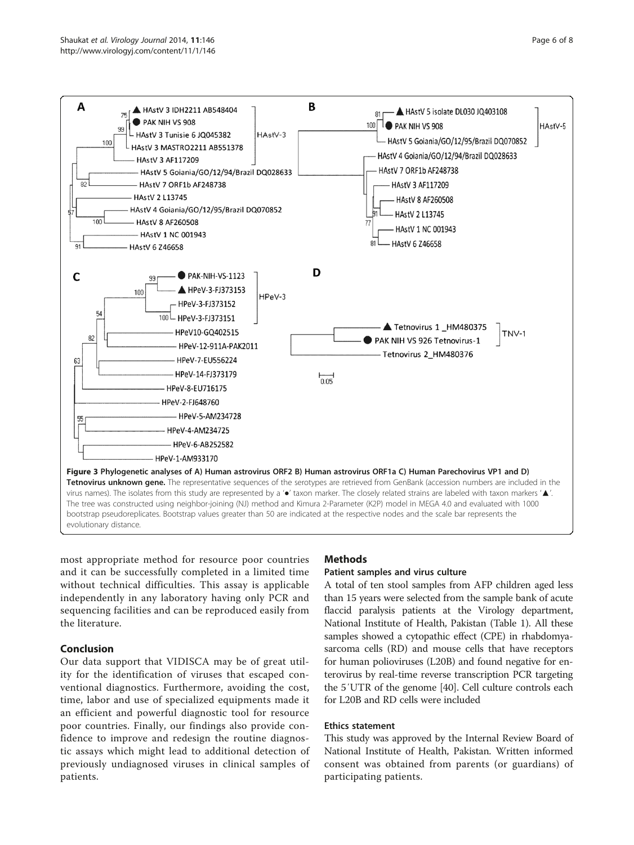<span id="page-5-0"></span>

most appropriate method for resource poor countries and it can be successfully completed in a limited time without technical difficulties. This assay is applicable independently in any laboratory having only PCR and sequencing facilities and can be reproduced easily from the literature.

# Conclusion

Our data support that VIDISCA may be of great utility for the identification of viruses that escaped conventional diagnostics. Furthermore, avoiding the cost, time, labor and use of specialized equipments made it an efficient and powerful diagnostic tool for resource poor countries. Finally, our findings also provide confidence to improve and redesign the routine diagnostic assays which might lead to additional detection of previously undiagnosed viruses in clinical samples of patients.

# Methods

# Patient samples and virus culture

A total of ten stool samples from AFP children aged less than 15 years were selected from the sample bank of acute flaccid paralysis patients at the Virology department, National Institute of Health, Pakistan (Table [1\)](#page-2-0). All these samples showed a cytopathic effect (CPE) in rhabdomyasarcoma cells (RD) and mouse cells that have receptors for human polioviruses (L20B) and found negative for enterovirus by real-time reverse transcription PCR targeting the 5′UTR of the genome [\[40\]](#page-7-0). Cell culture controls each for L20B and RD cells were included

# Ethics statement

This study was approved by the Internal Review Board of National Institute of Health, Pakistan. Written informed consent was obtained from parents (or guardians) of participating patients.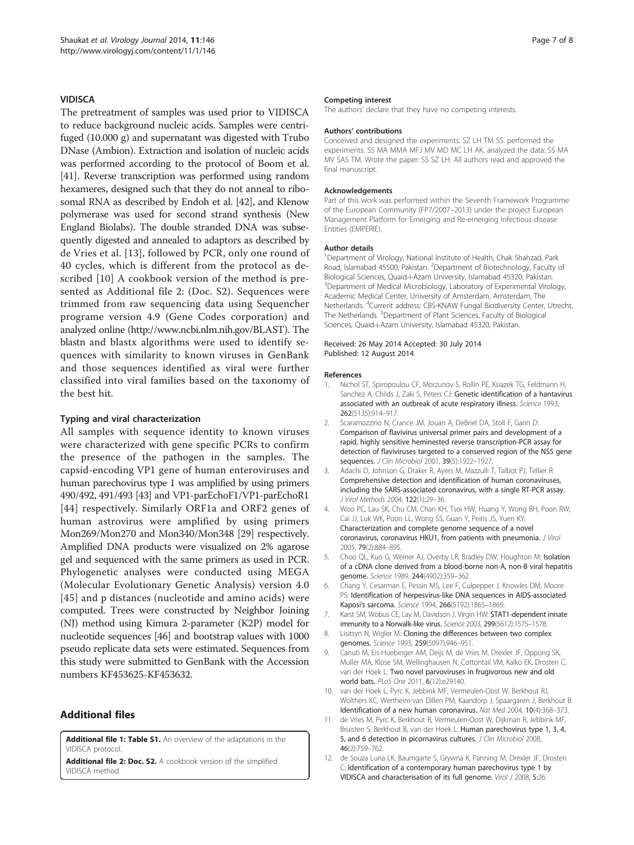#### <span id="page-6-0"></span>**VIDISCA**

The pretreatment of samples was used prior to VIDISCA to reduce background nucleic acids. Samples were centrifuged (10.000 g) and supernatant was digested with Trubo DNase (Ambion). Extraction and isolation of nucleic acids was performed according to the protocol of Boom et al. [[41](#page-7-0)]. Reverse transcription was performed using random hexameres, designed such that they do not anneal to ribosomal RNA as described by Endoh et al. [[42](#page-7-0)], and Klenow polymerase was used for second strand synthesis (New England Biolabs). The double stranded DNA was subsequently digested and annealed to adaptors as described by de Vries et al. [\[13](#page-7-0)], followed by PCR, only one round of 40 cycles, which is different from the protocol as described [10] A cookbook version of the method is presented as Additional file 2: (Doc. S2). Sequences were trimmed from raw sequencing data using Sequencher programe version 4.9 (Gene Codes corporation) and analyzed online [\(http://www.ncbi.nlm.nih.gov/BLAST](http://www.ncbi.nlm.nih.gov/BLAST)). The blastn and blastx algorithms were used to identify sequences with similarity to known viruses in GenBank and those sequences identified as viral were further classified into viral families based on the taxonomy of the best hit.

#### Typing and viral characterization

All samples with sequence identity to known viruses were characterized with gene specific PCRs to confirm the presence of the pathogen in the samples. The capsid-encoding VP1 gene of human enteroviruses and human parechovirus type 1 was amplified by using primers 490/492, 491/493 [\[43\]](#page-7-0) and VP1-parEchoF1/VP1-parEchoR1 [[44](#page-7-0)] respectively. Similarly ORF1a and ORF2 genes of human astrovirus were amplified by using primers Mon269/Mon270 and Mon340/Mon348 [\[29\]](#page-7-0) respectively. Amplified DNA products were visualized on 2% agarose gel and sequenced with the same primers as used in PCR. Phylogenetic analyses were conducted using MEGA (Molecular Evolutionary Genetic Analysis) version 4.0 [[45](#page-7-0)] and p distances (nucleotide and amino acids) were computed. Trees were constructed by Neighbor Joining (NJ) method using Kimura 2-parameter (K2P) model for nucleotide sequences [\[46\]](#page-7-0) and bootstrap values with 1000 pseudo replicate data sets were estimated. Sequences from this study were submitted to GenBank with the Accession numbers KF453625-KF453632.

# Additional files

[Additional file 1: Table S1.](http://www.biomedcentral.com/content/supplementary/1743-422X-11-146-S1.doc) An overview of the adaptations in the VIDISCA protoco

[Additional file 2: Doc. S2.](http://www.biomedcentral.com/content/supplementary/1743-422X-11-146-S2.doc) A cookbook version of the simplified VIDISCA method.

#### Competing interest

The authors' declare that they have no competing interests.

#### Authors' contributions

Conceived and designed the experiments: SZ LH TM SS. performed the experiments: SS MA MMA MFJ MV MD MC LH AK. analyzed the data: SS MA MV SAS TM. Wrote the paper: SS SZ LH. All authors read and approved the final manuscript.

#### Acknowledgements

Part of this work was performed within the Seventh Framework Programme of the European Community (FP7/2007–2013) under the project European Management Platform for Emerging and Re-emerging Infectious disease Entities (EMPERIE).

#### Author details

<sup>1</sup>Department of Virology, National Institute of Health, Chak Shahzad, Park Road, Islamabad 45500, Pakistan. <sup>2</sup>Department of Biotechnology, Faculty of Biological Sciences, Quaid-i-Azam University, Islamabad 45320, Pakistan. <sup>3</sup>Department of Medical Microbiology, Laboratory of Experimental Virology Academic Medical Center, University of Amsterdam, Amsterdam, The Netherlands. <sup>4</sup>Current address: CBS-KNAW Fungal Biodiversity Center, Utrecht, The Netherlands. <sup>5</sup>Department of Plant Sciences, Faculty of Biological Sciences, Quaid-i-Azam University, Islamabad 45320, Pakistan.

#### Received: 26 May 2014 Accepted: 30 July 2014 Published: 12 August 2014

#### References

- 1. Nichol ST, Spiropoulou CF, Morzunov S, Rollin PE, Ksiazek TG, Feldmann H, Sanchez A, Childs J, Zaki S, Peters CJ: Genetic identification of a hantavirus associated with an outbreak of acute respiratory illness. Science 1993, 262(5135):914–917.
- 2. Scaramozzino N, Crance JM, Jouan A, DeBriel DA, Stoll F, Garin D: Comparison of flavivirus universal primer pairs and development of a rapid, highly sensitive heminested reverse transcription-PCR assay for detection of flaviviruses targeted to a conserved region of the NS5 gene sequences. J Clin Microbiol 2001, 39(5):1922–1927.
- 3. Adachi D, Johnson G, Draker R, Ayers M, Mazzulli T, Talbot PJ, Tellier R: Comprehensive detection and identification of human coronaviruses, including the SARS-associated coronavirus, with a single RT-PCR assay. J Virol Methods 2004, 122(1):29–36.
- 4. Woo PC, Lau SK, Chu CM, Chan KH, Tsoi HW, Huang Y, Wong BH, Poon RW, Cai JJ, Luk WK, Poon LL, Wong SS, Guan Y, Peiris JS, Yuen KY: Characterization and complete genome sequence of a novel coronavirus, coronavirus HKU1, from patients with pneumonia. J Virol 2005, 79(2):884–895.
- 5. Choo QL, Kuo G, Weiner AJ, Overby LR, Bradley DW, Houghton M: Isolation of a cDNA clone derived from a blood-borne non-A, non-B viral hepatitis genome. Science 1989, 244(4902):359–362.
- 6. Chang Y, Cesarman E, Pessin MS, Lee F, Culpepper J, Knowles DM, Moore PS: Identification of herpesvirus-like DNA sequences in AIDS-associated Kaposi's sarcoma. Science 1994, 266(5192):1865–1869.
- 7. Karst SM, Wobus CE, Lay M, Davidson J, Virgin HW: STAT1-dependent innate immunity to a Norwalk-like virus. Science 2003, 299(5612):1575–1578.
- 8. Lisitsyn N, Wigler M: Cloning the differences between two complex genomes. Science 1993, 259(5097):946–951.
- 9. Canuti M, Eis-Huebinger AM, Deijs M, de Vries M, Drexler JF, Oppong SK, Muller MA, Klose SM, Wellinghausen N, Cottontail VM, Kalko EK, Drosten C, van der Hoek L: Two novel parvoviruses in frugivorous new and old world bats. PLoS One 2011, 6(12):e29140.
- 10. van der Hoek L, Pyrc K, Jebbink MF, Vermeulen-Oost W, Berkhout RJ, Wolthers KC, Wertheim-van Dillen PM, Kaandorp J, Spaargaren J, Berkhout B: Identification of a new human coronavirus. Nat Med 2004, 10(4):368–373.
- 11. de Vries M, Pyrc K, Berkhout R, Vermeulen-Oost W, Dijkman R, Jebbink MF, Bruisten S, Berkhout B, van der Hoek L: Human parechovirus type 1, 3, 4, 5, and 6 detection in picornavirus cultures. J Clin Microbiol 2008, 46(2):759–762.
- 12. de Souza Luna LK, Baumgarte S, Grywna K, Panning M, Drexler JF, Drosten C: Identification of a contemporary human parechovirus type 1 by VIDISCA and characterisation of its full genome. Virol J 2008, 5:26.